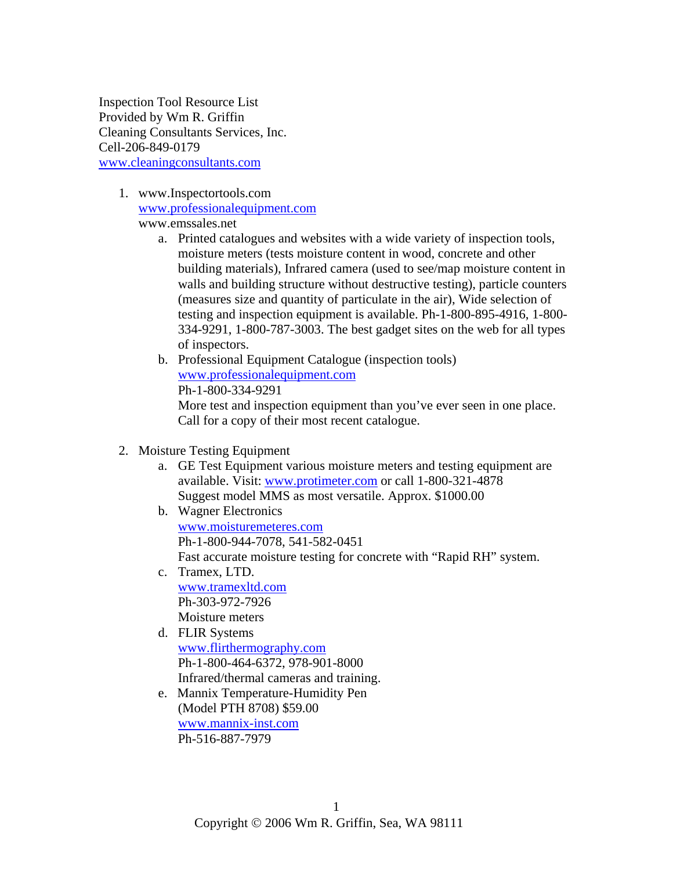Inspection Tool Resource List Provided by Wm R. Griffin Cleaning Consultants Services, Inc. Cell-206-849-0179 [www.cleaningconsultants.com](http://www.cleaningconsultants.com/)

> 1. www.Inspectortools.com [www.professionalequipment.com](http://www.professionalequipment.com/)

www.emssales.net

- a. Printed catalogues and websites with a wide variety of inspection tools, moisture meters (tests moisture content in wood, concrete and other building materials), Infrared camera (used to see/map moisture content in walls and building structure without destructive testing), particle counters (measures size and quantity of particulate in the air), Wide selection of testing and inspection equipment is available. Ph-1-800-895-4916, 1-800- 334-9291, 1-800-787-3003. The best gadget sites on the web for all types of inspectors.
- b. Professional Equipment Catalogue (inspection tools) [www.professionalequipment.com](http://www.professionalequipment.com/) Ph-1-800-334-9291 More test and inspection equipment than you've ever seen in one place. Call for a copy of their most recent catalogue.
- 2. Moisture Testing Equipment
	- a. GE Test Equipment various moisture meters and testing equipment are available. Visit: [www.protimeter.com](http://www.protimeter.com/) or call 1-800-321-4878 Suggest model MMS as most versatile. Approx. \$1000.00
	- b. Wagner Electronics [www.moisturemeteres.com](http://www.moisturemeteres.com/) Ph-1-800-944-7078, 541-582-0451 Fast accurate moisture testing for concrete with "Rapid RH" system.
	- c. Tramex, LTD. [www.tramexltd.com](http://www.tramexltd.com/) Ph-303-972-7926 Moisture meters
	- d. FLIR Systems [www.flirthermography.com](http://www.flirthermography.com/) Ph-1-800-464-6372, 978-901-8000 Infrared/thermal cameras and training.
	- e. Mannix Temperature-Humidity Pen (Model PTH 8708) \$59.00 [www.mannix-inst.com](http://www.mannix-inst.com/) Ph-516-887-7979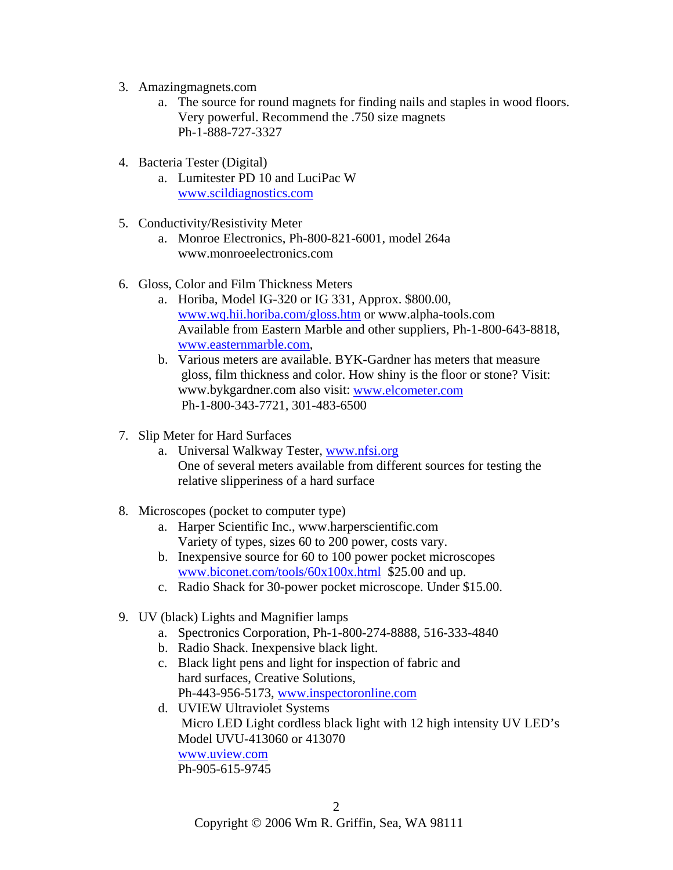- 3. Amazingmagnets.com
	- a. The source for round magnets for finding nails and staples in wood floors. Very powerful. Recommend the .750 size magnets Ph-1-888-727-3327
- 4. Bacteria Tester (Digital)
	- a. Lumitester PD 10 and LuciPac W [www.scildiagnostics.com](http://www.scildiagnostics.com/)
- 5. Conductivity/Resistivity Meter
	- a. Monroe Electronics, Ph-800-821-6001, model 264a www.monroeelectronics.com
- 6. Gloss, Color and Film Thickness Meters
	- a. Horiba, Model IG-320 or IG 331, Approx. \$800.00, [www.wq.hii.horiba.com/gloss.htm](http://www.wq.hii.horiba.com/gloss.htm) or www.alpha-tools.com Available from Eastern Marble and other suppliers, Ph-1-800-643-8818, [www.easternmarble.com,](http://www.easternmarble.com/)
	- b. Various meters are available. BYK-Gardner has meters that measure gloss, film thickness and color. How shiny is the floor or stone? Visit: www.bykgardner.com also visit: [www.elcometer.com](http://www.elcometer.com/) Ph-1-800-343-7721, 301-483-6500
- 7. Slip Meter for Hard Surfaces
	- a. Universal Walkway Tester, [www.nfsi.org](http://www.nfsi.org/) One of several meters available from different sources for testing the relative slipperiness of a hard surface
- 8. Microscopes (pocket to computer type)
	- a. Harper Scientific Inc., www.harperscientific.com Variety of types, sizes 60 to 200 power, costs vary.
	- b. Inexpensive source for 60 to 100 power pocket microscopes [www.biconet.com/tools/60x100x.html](http://www.biconet.com/tools/60x100x.html) \$25.00 and up.
	- c. Radio Shack for 30-power pocket microscope. Under \$15.00.
- 9. UV (black) Lights and Magnifier lamps
	- a. Spectronics Corporation, Ph-1-800-274-8888, 516-333-4840
	- b. Radio Shack. Inexpensive black light.
	- c. Black light pens and light for inspection of fabric and hard surfaces, Creative Solutions, Ph-443-956-5173, [www.inspectoronline.com](http://www.inspectoronline.com/)
	- d. UVIEW Ultraviolet Systems Micro LED Light cordless black light with 12 high intensity UV LED's Model UVU-413060 or 413070 [www.uview.com](http://www.uview.com/)

Ph-905-615-9745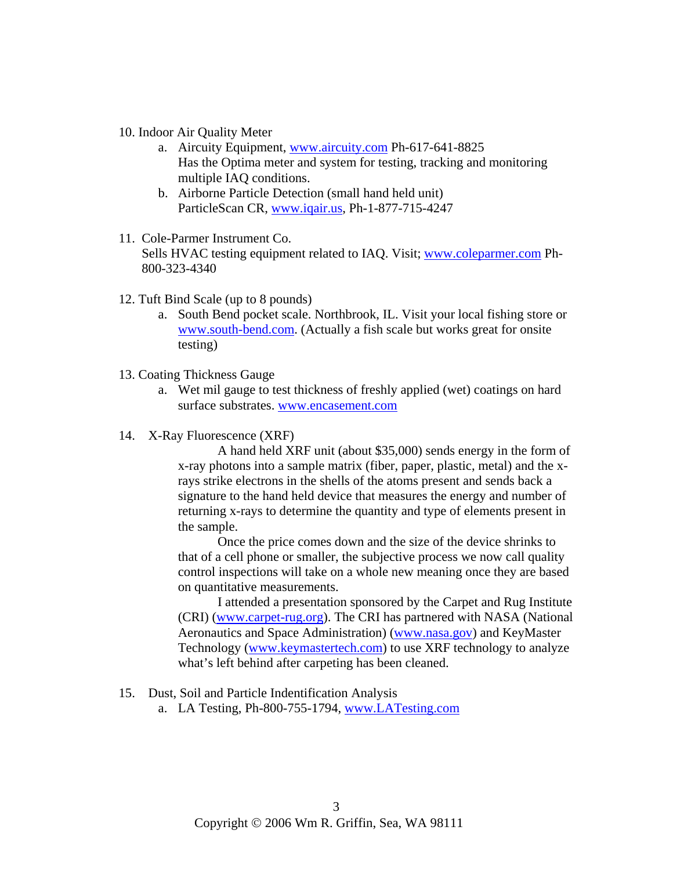- 10. Indoor Air Quality Meter
	- a. Aircuity Equipment, [www.aircuity.com](http://www.aircuity.com/) Ph-617-641-8825 Has the Optima meter and system for testing, tracking and monitoring multiple IAQ conditions.
	- b. Airborne Particle Detection (small hand held unit) ParticleScan CR, [www.iqair.us,](http://www.iqair.us/) Ph-1-877-715-4247
- 11. Cole-Parmer Instrument Co. Sells HVAC testing equipment related to IAQ. Visit; [www.coleparmer.com](http://www.coleparmer.com/) Ph-800-323-4340
- 12. Tuft Bind Scale (up to 8 pounds)
	- a. South Bend pocket scale. Northbrook, IL. Visit your local fishing store or [www.south-bend.com.](http://www.south-bend.com/) (Actually a fish scale but works great for onsite testing)
- 13. Coating Thickness Gauge
	- a. Wet mil gauge to test thickness of freshly applied (wet) coatings on hard surface substrates. [www.encasement.com](http://www.encasement.com/)
- 14. X-Ray Fluorescence (XRF)

A hand held XRF unit (about \$35,000) sends energy in the form of x-ray photons into a sample matrix (fiber, paper, plastic, metal) and the xrays strike electrons in the shells of the atoms present and sends back a signature to the hand held device that measures the energy and number of returning x-rays to determine the quantity and type of elements present in the sample.

Once the price comes down and the size of the device shrinks to that of a cell phone or smaller, the subjective process we now call quality control inspections will take on a whole new meaning once they are based on quantitative measurements.

I attended a presentation sponsored by the Carpet and Rug Institute (CRI) [\(www.carpet-rug.org](http://www.carpet-rug.org/)). The CRI has partnered with NASA (National Aeronautics and Space Administration) ([www.nasa.gov\)](http://www.nasa.gov/) and KeyMaster Technology [\(www.keymastertech.com](http://www.keymastertech.com/)) to use XRF technology to analyze what's left behind after carpeting has been cleaned.

- 15. Dust, Soil and Particle Indentification Analysis
	- a. LA Testing, Ph-800-755-1794, [www.LATesting.com](http://www.latesting.com/)